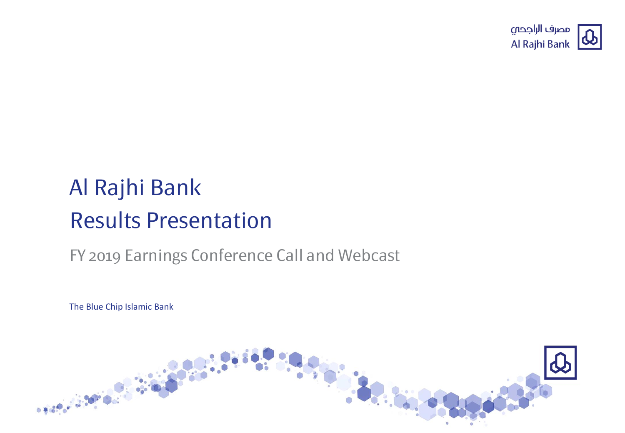

# Al Rajhi Bank Results Presentation

### FY 2019 Earnings Conference Call and Webcast

The Blue Chip Islamic Bank

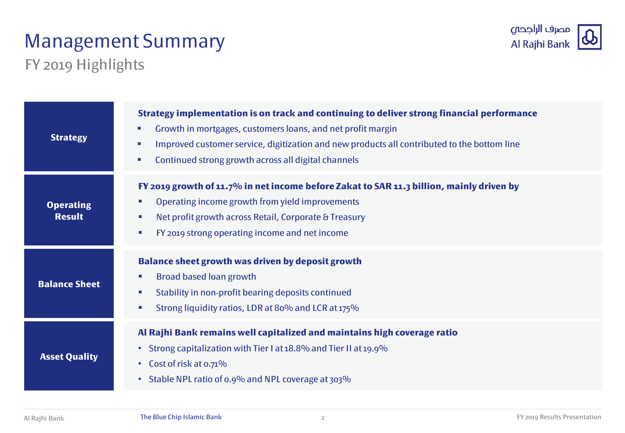# Management Summary



### FY 2019 Highlights

| <b>Strategy</b>                   | Strategy implementation is on track and continuing to deliver strong financial performance<br>Growth in mortgages, customers loans, and net profit margin<br>×<br>Improved customer service, digitization and new products all contributed to the bottom line<br>×.<br>Continued strong growth across all digital channels<br>×. |  |  |  |
|-----------------------------------|----------------------------------------------------------------------------------------------------------------------------------------------------------------------------------------------------------------------------------------------------------------------------------------------------------------------------------|--|--|--|
| <b>Operating</b><br><b>Result</b> | FY 2019 growth of 11.7% in net income before Zakat to SAR 11.3 billion, mainly driven by<br>Operating income growth from yield improvements<br>$\mathcal{L}_{\mathcal{A}}$<br>Net profit growth across Retail, Corporate & Treasury<br>$\mathcal{L}_{\mathcal{A}}$<br>FY 2019 strong operating income and net income<br>×        |  |  |  |
| <b>Balance Sheet</b>              | <b>Balance sheet growth was driven by deposit growth</b><br><b>Broad based loan growth</b><br>×<br>Stability in non-profit bearing deposits continued<br>$\mathcal{L}_{\mathcal{A}}$<br>Strong liquidity ratios, LDR at 80% and LCR at 175%<br>×                                                                                 |  |  |  |
| <b>Asset Quality</b>              | Al Rajhi Bank remains well capitalized and maintains high coverage ratio<br>Strong capitalization with Tier I at 18.8% and Tier II at 19.9%<br>$\bullet$<br>Cost of risk at 0.71%<br>$\bullet$<br>Stable NPL ratio of 0.9% and NPL coverage at 303%<br>$\bullet$                                                                 |  |  |  |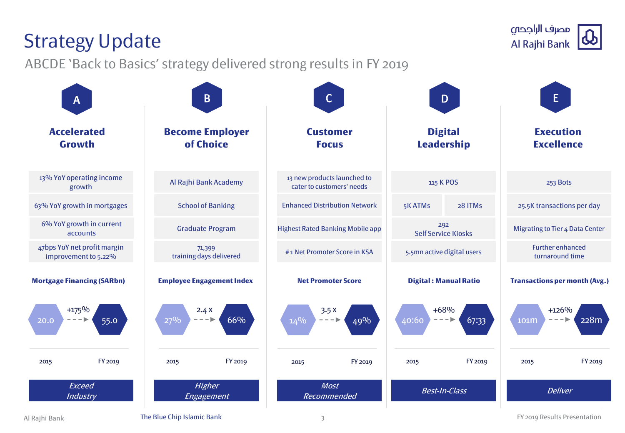# Industry

Al Rajhi Bank **The Blue Chip Islamic Bank** 3 3

| $\mathsf{A}$                                        | $\mathsf B$                         | $\mathsf{C}$                                             | D                                   | E                                                   |
|-----------------------------------------------------|-------------------------------------|----------------------------------------------------------|-------------------------------------|-----------------------------------------------------|
| <b>Accelerated</b><br><b>Growth</b>                 | <b>Become Employer</b><br>of Choice | <b>Customer</b><br><b>Focus</b>                          | <b>Digital</b><br><b>Leadership</b> | <b>Execution</b><br><b>Excellence</b>               |
| 13% YoY operating income<br>growth                  | Al Rajhi Bank Academy               | 13 new products launched to<br>cater to customers' needs | 115 K POS                           | 253 Bots                                            |
| 63% YoY growth in mortgages                         | <b>School of Banking</b>            | <b>Enhanced Distribution Network</b>                     | 5K ATMs<br>28 ITMs                  | 25.5K transactions per day                          |
| 6% YoY growth in current<br>accounts                | <b>Graduate Program</b>             | <b>Highest Rated Banking Mobile app</b>                  | 292<br><b>Self Service Kiosks</b>   | <b>Migrating to Tier 4 Data Center</b>              |
| 47bps YoY net profit margin<br>improvement to 5.22% | 71,399<br>training days delivered   | #1 Net Promoter Score in KSA                             | 5.5mn active digital users          | <b>Further enhanced</b><br>turnaround time          |
| <b>Mortgage Financing (SARbn)</b>                   | <b>Employee Engagement Index</b>    | <b>Net Promoter Score</b>                                | <b>Digital: Manual Ratio</b>        | <b>Transactions per month (Avg.)</b>                |
| $+175%$<br>55.0<br>20.0                             | 2.4X<br>66%<br>$27\%$               | 3.5x<br>$14\%$<br>49%                                    | $+68%$<br>40:60<br>67:33            | $+126%$<br>228m<br>101m<br>$\overline{\phantom{0}}$ |
| FY 2019<br>2015                                     | FY 2019<br>2015                     | FY 2019<br>2015                                          | FY 2019<br>2015                     | FY 2019<br>2015                                     |
| Exceed<br><b>Industry</b>                           | <b>Higher</b><br>Engagement         | <b>Most</b><br>Recommended                               | <b>Best-In-Class</b>                | <b>Deliver</b>                                      |

3

### Strategy Update

ABCDE 'Back to Basics' strategy delivered strong results in FY 2019

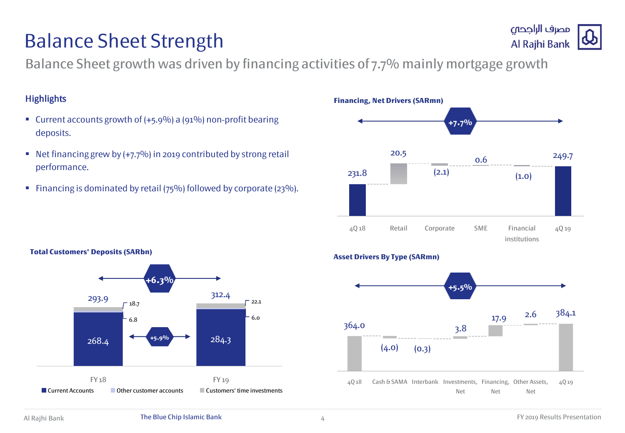## Balance Sheet Strength

Balance Sheet growth was driven by financing activities of 7.7% mainly mortgage growth

#### **Highlights**

- Current accounts growth of (+5.9%) a (91%) non-profit bearing deposits.
- Net financing grew by  $(+7.7%)$  in 2019 contributed by strong retail performance.
- Financing is dominated by retail ( $75\%$ ) followed by corporate ( $23\%$ ).



### **Asset Drivers By Type (SARmn)**



# Al Rajhi Bank

مصرف الراجحي

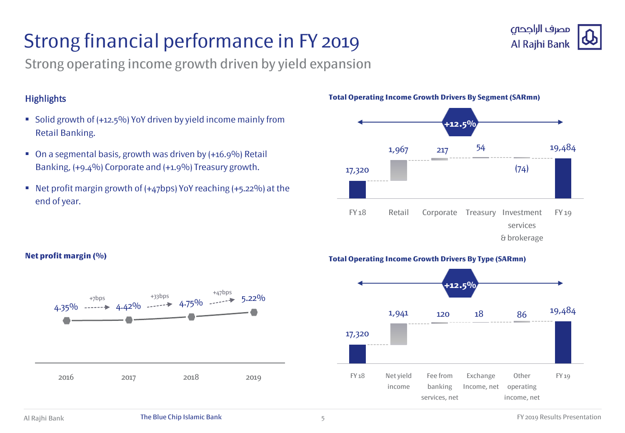# Strong financial performance in FY 2019



Strong operating income growth driven by yield expansion

### **Highlights**

- Solid growth of (+12.5%) YoY driven by yield income mainly from Retail Banking.
- On a segmental basis, growth was driven by (+16.9%) Retail Banking, (+9.4%) Corporate and (+1.9%) Treasury growth.
- Net profit margin growth of (+47bps) YoY reaching (+5.22%) at the end of year.



#### **Total Operating Income Growth Drivers By Segment (SARmn)**



#### **Net profit margin (%)**



#### **Total Operating Income Growth Drivers By Type (SARmn)**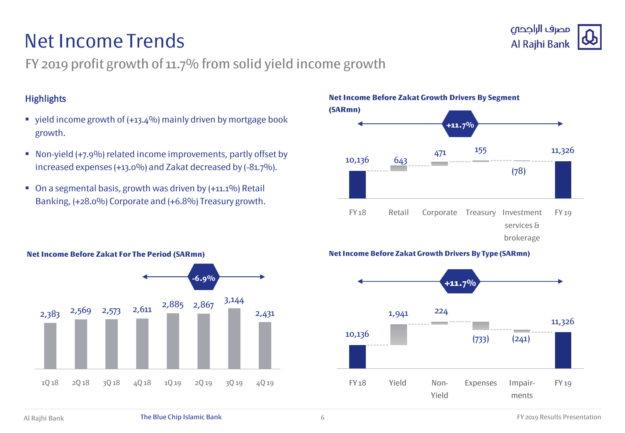## Net Income Trends



### FY 2019 profit growth of 11.7% from solid yield income growth

#### **Highlights**

- vield income growth of  $(+13.4\%)$  mainly driven by mortgage book growth.
- Non-yield (+7.9%) related income improvements, partly offset by increased expenses (+13.0%) and Zakat decreased by (-81.7%).
- On a segmental basis, growth was driven by (+11.1%) Retail Banking, (+28.0%) Corporate and (+6.8%) Treasury growth.



#### **Net Income Before Zakat Growth Drivers By Type (SARmn)**



#### **Net Income Before Zakat For The Period (SARmn)**

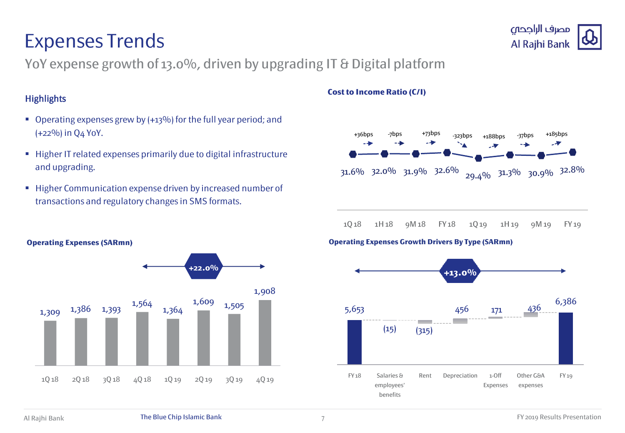### Expenses Trends



YoY expense growth of 13.0%, driven by upgrading IT & Digital platform

#### **Highlights**

- Operating expenses grew by (+13%) for the full year period; and (+22%) in Q4 YoY.
- Higher IT related expenses primarily due to digital infrastructure and upgrading.
- **Higher Communication expense driven by increased number of** transactions and regulatory changes in SMS formats.



#### **Cost to Income Ratio (C/I)**



**Operating Expenses (SARmn)**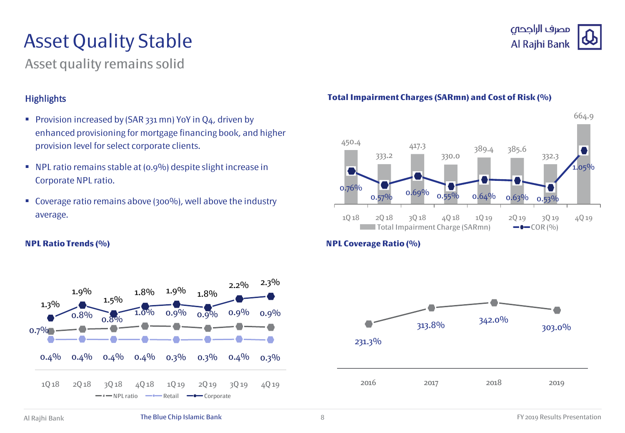# Asset Quality Stable

### Asset quality remains solid

### **Highlights**

- **Provision increased by (SAR 331 mn) YoY in O4, driven by** enhanced provisioning for mortgage financing book, and higher provision level for select corporate clients.
- NPL ratio remains stable at (0.9%) despite slight increase in Corporate NPL ratio.
- Coverage ratio remains above (300%), well above the industry average.



### مصرف الراجحى Al Rajhi Bank



#### **Total Impairment Charges (SARmn) and Cost of Risk (%)**

#### **NPL Ratio Trends (%) NPL Coverage Ratio (%)**

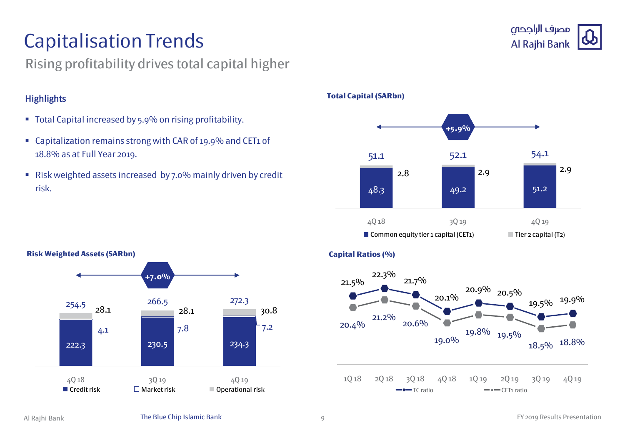# Capitalisation Trends

### Rising profitability drives total capital higher

### **Highlights**

- Total Capital increased by 5.9% on rising profitability.
- Capitalization remains strong with CAR of 19.9% and CET1 of 18.8% as at Full Year 2019.
- Risk weighted assets increased by 7.0% mainly driven by credit risk. 48.3 49.2 51.2



#### **Total Capital (SARbn)**





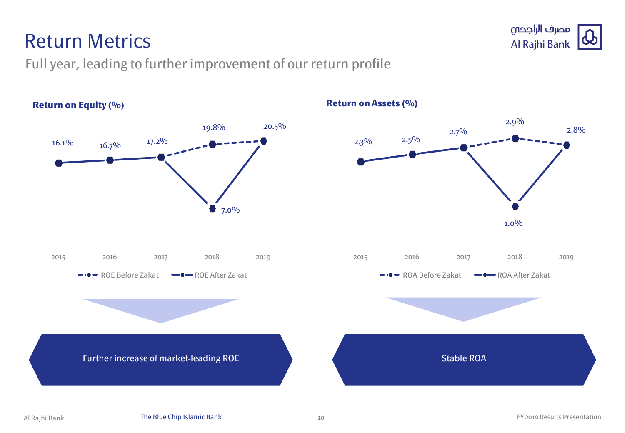### Return Metrics

### Full year, leading to further improvement of our return profile



**Return on Assets (%)**

10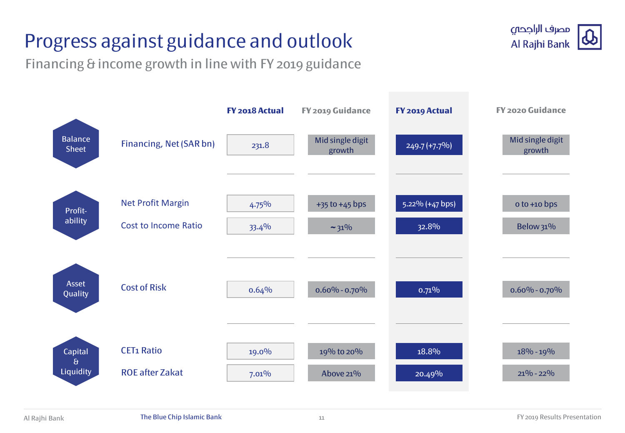# Progress against guidance and outlook

Financing & income growth in line with FY 2019 guidance



11

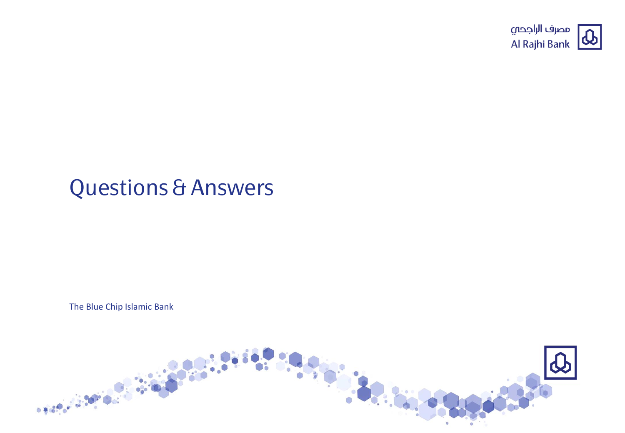

# Questions & Answers

The Blue Chip Islamic Bank

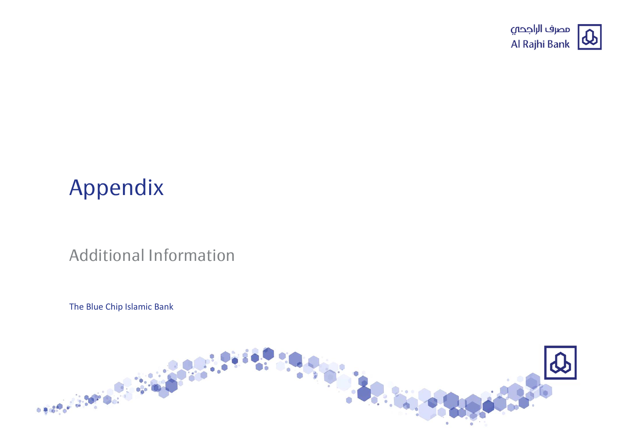

# Appendix

### Additional Information

The Blue Chip Islamic Bank

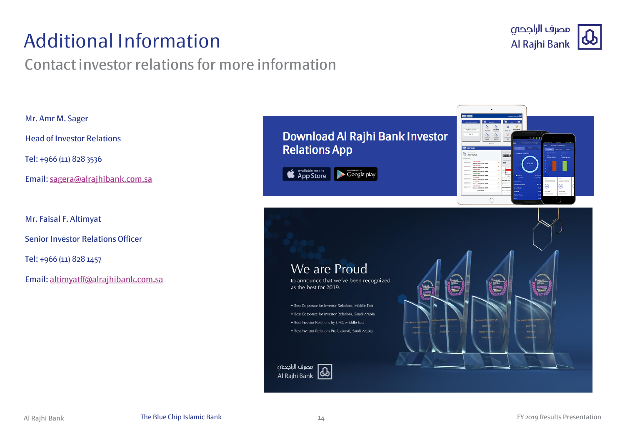## Additional Information

### Contact investor relations for more information



Mr. Amr M. Sager

Head of Investor Relations

Tel: +966 (11) 828 3536

Email: [sagera@alrajhibank.com.sa](mailto:sagera@alrajhibank.com.sa)

Mr. Faisal F. Altimyat

Senior Investor Relations Officer

Tel: +966 (11) 828 1457

Email: [altimyatff@alrajhibank.com.sa](mailto:altimyatff@alrajhibank.com.sa)